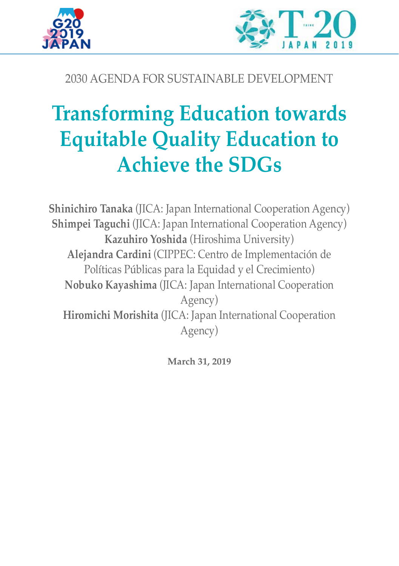



# 2030 AGENDA FOR SUSTAINABLE DEVELOPMENT

# **Transforming Education towards Equitable Quality Education to Achieve the SDGs**

**Shinichiro Tanaka** (JICA: Japan International Cooperation Agency) **Shimpei Taguchi** (JICA: Japan International Cooperation Agency) **Kazuhiro Yoshida** (Hiroshima University) **Alejandra Cardini** (CIPPEC: Centro de Implementación de Políticas Públicas para la Equidad y el Crecimiento) **Nobuko Kayashima** (JICA: Japan International Cooperation Agency) **Hiromichi Morishita** (JICA: Japan International Cooperation Agency)

**March 31, 2019**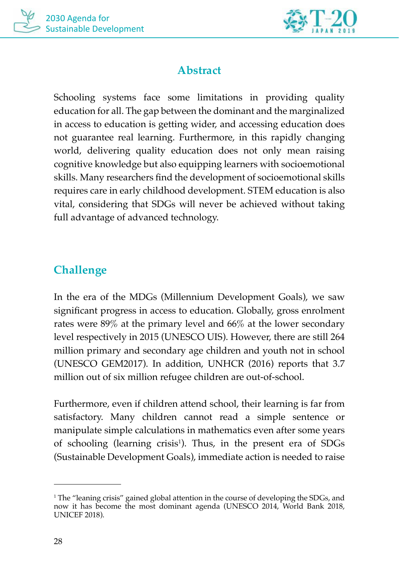



## **Abstract**

Schooling systems face some limitations in providing quality education for all. The gap between the dominant and the marginalized in access to education is getting wider, and accessing education does not guarantee real learning. Furthermore, in this rapidly changing world, delivering quality education does not only mean raising cognitive knowledge but also equipping learners with socioemotional skills. Many researchers find the development of socioemotional skills requires care in early childhood development. STEM education is also vital, considering that SDGs will never be achieved without taking full advantage of advanced technology.

## **Challenge**

In the era of the MDGs (Millennium Development Goals), we saw significant progress in access to education. Globally, gross enrolment rates were 89% at the primary level and 66% at the lower secondary level respectively in 2015 (UNESCO UIS). However, there are still 264 million primary and secondary age children and youth not in school (UNESCO GEM2017). In addition, UNHCR (2016) reports that 3.7 million out of six million refugee children are out-of-school.

Furthermore, even if children attend school, their learning is far from satisfactory. Many children cannot read a simple sentence or manipulate simple calculations in mathematics even after some years of schooling (learning crisis<sup>1</sup>). Thus, in the present era of SDGs (Sustainable Development Goals), immediate action is needed to raise

<sup>1</sup> The "leaning crisis" gained global attention in the course of developing the SDGs, and now it has become the most dominant agenda (UNESCO 2014, World Bank 2018, UNICEF 2018).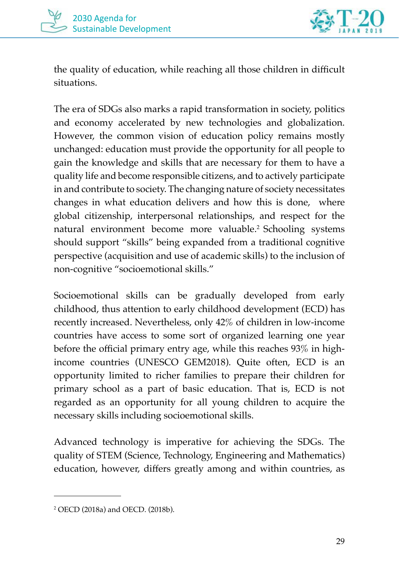



the quality of education, while reaching all those children in difficult situations.

The era of SDGs also marks a rapid transformation in society, politics and economy accelerated by new technologies and globalization. However, the common vision of education policy remains mostly unchanged: education must provide the opportunity for all people to gain the knowledge and skills that are necessary for them to have a quality life and become responsible citizens, and to actively participate in and contribute to society. The changing nature of society necessitates changes in what education delivers and how this is done, where global citizenship, interpersonal relationships, and respect for the natural environment become more valuable.2 Schooling systems should support "skills" being expanded from a traditional cognitive perspective (acquisition and use of academic skills) to the inclusion of non-cognitive "socioemotional skills."

Socioemotional skills can be gradually developed from early childhood, thus attention to early childhood development (ECD) has recently increased. Nevertheless, only 42% of children in low-income countries have access to some sort of organized learning one year before the official primary entry age, while this reaches 93% in highincome countries (UNESCO GEM2018). Quite often, ECD is an opportunity limited to richer families to prepare their children for primary school as a part of basic education. That is, ECD is not regarded as an opportunity for all young children to acquire the necessary skills including socioemotional skills.

Advanced technology is imperative for achieving the SDGs. The quality of STEM (Science, Technology, Engineering and Mathematics) education, however, differs greatly among and within countries, as

<sup>2</sup> OECD (2018a) and OECD. (2018b).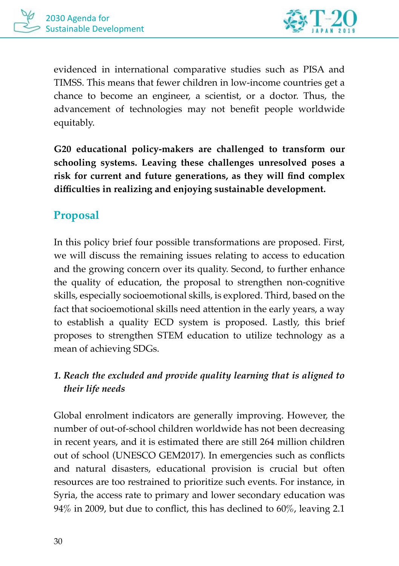

evidenced in international comparative studies such as PISA and TIMSS. This means that fewer children in low-income countries get a chance to become an engineer, a scientist, or a doctor. Thus, the advancement of technologies may not benefit people worldwide equitably.

**G20 educational policy-makers are challenged to transform our schooling systems. Leaving these challenges unresolved poses a risk for current and future generations, as they will find complex difficulties in realizing and enjoying sustainable development.**

# **Proposal**

In this policy brief four possible transformations are proposed. First, we will discuss the remaining issues relating to access to education and the growing concern over its quality. Second, to further enhance the quality of education, the proposal to strengthen non-cognitive skills, especially socioemotional skills, is explored. Third, based on the fact that socioemotional skills need attention in the early years, a way to establish a quality ECD system is proposed. Lastly, this brief proposes to strengthen STEM education to utilize technology as a mean of achieving SDGs.

## *1. Reach the excluded and provide quality learning that is aligned to their life needs*

Global enrolment indicators are generally improving. However, the number of out-of-school children worldwide has not been decreasing in recent years, and it is estimated there are still 264 million children out of school (UNESCO GEM2017). In emergencies such as conflicts and natural disasters, educational provision is crucial but often resources are too restrained to prioritize such events. For instance, in Syria, the access rate to primary and lower secondary education was 94% in 2009, but due to conflict, this has declined to 60%, leaving 2.1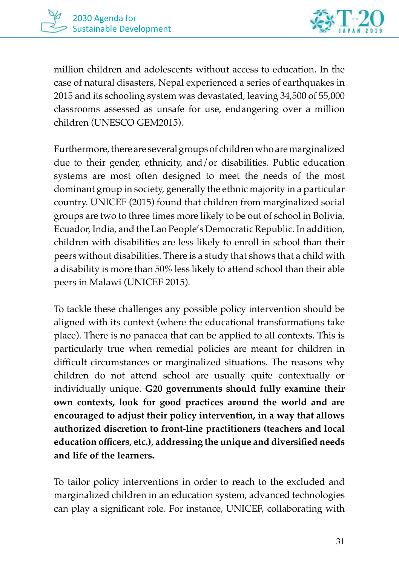

million children and adolescents without access to education. In the case of natural disasters, Nepal experienced a series of earthquakes in 2015 and its schooling system was devastated, leaving 34,500 of 55,000 classrooms assessed as unsafe for use, endangering over a million children (UNESCO GEM2015).

Furthermore, there are several groups of children who are marginalized due to their gender, ethnicity, and/or disabilities. Public education systems are most often designed to meet the needs of the most dominant group in society, generally the ethnic majority in a particular country. UNICEF (2015) found that children from marginalized social groups are two to three times more likely to be out of school in Bolivia, Ecuador, India, and the Lao People's Democratic Republic. In addition, children with disabilities are less likely to enroll in school than their peers without disabilities. There is a study that shows that a child with a disability is more than 50% less likely to attend school than their able peers in Malawi (UNICEF 2015).

To tackle these challenges any possible policy intervention should be aligned with its context (where the educational transformations take place). There is no panacea that can be applied to all contexts. This is particularly true when remedial policies are meant for children in difficult circumstances or marginalized situations. The reasons why children do not attend school are usually quite contextually or individually unique. **G20 governments should fully examine their own contexts, look for good practices around the world and are encouraged to adjust their policy intervention, in a way that allows authorized discretion to front-line practitioners (teachers and local education officers, etc.), addressing the unique and diversified needs and life of the learners.**

To tailor policy interventions in order to reach to the excluded and marginalized children in an education system, advanced technologies can play a significant role. For instance, UNICEF, collaborating with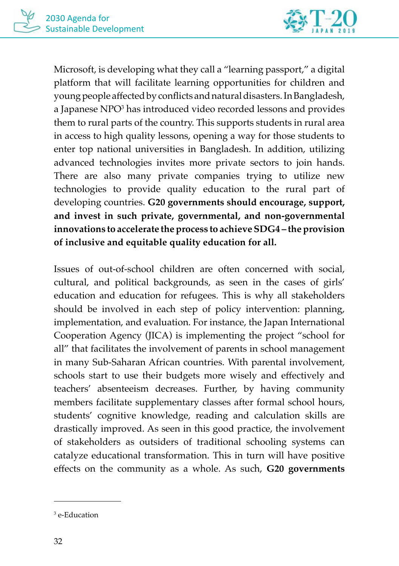

Microsoft, is developing what they call a "learning passport," a digital platform that will facilitate learning opportunities for children and young people affected by conflicts and natural disasters. In Bangladesh, a Japanese NPO<sup>3</sup> has introduced video recorded lessons and provides them to rural parts of the country. This supports students in rural area in access to high quality lessons, opening a way for those students to enter top national universities in Bangladesh. In addition, utilizing advanced technologies invites more private sectors to join hands. There are also many private companies trying to utilize new technologies to provide quality education to the rural part of developing countries. **G20 governments should encourage, support, and invest in such private, governmental, and non-governmental innovations to accelerate the process to achieve SDG4 – the provision of inclusive and equitable quality education for all.** 

Issues of out-of-school children are often concerned with social, cultural, and political backgrounds, as seen in the cases of girls' education and education for refugees. This is why all stakeholders should be involved in each step of policy intervention: planning, implementation, and evaluation. For instance, the Japan International Cooperation Agency (JICA) is implementing the project "school for all" that facilitates the involvement of parents in school management in many Sub-Saharan African countries. With parental involvement, schools start to use their budgets more wisely and effectively and teachers' absenteeism decreases. Further, by having community members facilitate supplementary classes after formal school hours, students' cognitive knowledge, reading and calculation skills are drastically improved. As seen in this good practice, the involvement of stakeholders as outsiders of traditional schooling systems can catalyze educational transformation. This in turn will have positive effects on the community as a whole. As such, **G20 governments** 

<sup>3</sup> e-Education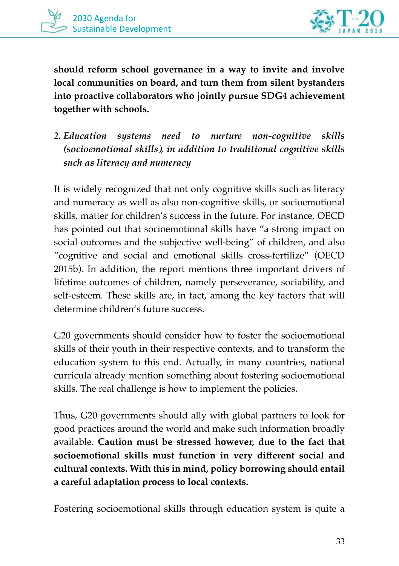



**should reform school governance in a way to invite and involve local communities on board, and turn them from silent bystanders into proactive collaborators who jointly pursue SDG4 achievement together with schools.**

*2. Education systems need to nurture non-cognitive skills (socioemotional skills), in addition to traditional cognitive skills such as literacy and numeracy*

It is widely recognized that not only cognitive skills such as literacy and numeracy as well as also non-cognitive skills, or socioemotional skills, matter for children's success in the future. For instance, OECD has pointed out that socioemotional skills have "a strong impact on social outcomes and the subjective well-being" of children, and also "cognitive and social and emotional skills cross-fertilize" (OECD 2015b). In addition, the report mentions three important drivers of lifetime outcomes of children, namely perseverance, sociability, and self-esteem. These skills are, in fact, among the key factors that will determine children's future success.

G20 governments should consider how to foster the socioemotional skills of their youth in their respective contexts, and to transform the education system to this end. Actually, in many countries, national curricula already mention something about fostering socioemotional skills. The real challenge is how to implement the policies.

Thus, G20 governments should ally with global partners to look for good practices around the world and make such information broadly available. **Caution must be stressed however, due to the fact that socioemotional skills must function in very different social and cultural contexts. With this in mind, policy borrowing should entail a careful adaptation process to local contexts.** 

Fostering socioemotional skills through education system is quite a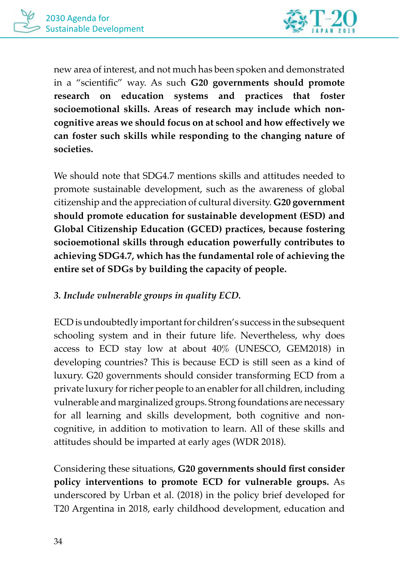

new area of interest, and not much has been spoken and demonstrated in a "scientific" way. As such **G20 governments should promote research on education systems and practices that foster socioemotional skills. Areas of research may include which noncognitive areas we should focus on at school and how effectively we can foster such skills while responding to the changing nature of societies.** 

We should note that SDG4.7 mentions skills and attitudes needed to promote sustainable development, such as the awareness of global citizenship and the appreciation of cultural diversity. **G20 government should promote education for sustainable development (ESD) and Global Citizenship Education (GCED) practices, because fostering socioemotional skills through education powerfully contributes to achieving SDG4.7, which has the fundamental role of achieving the entire set of SDGs by building the capacity of people.** 

### *3. Include vulnerable groups in quality ECD.*

ECD is undoubtedly important for children's success in the subsequent schooling system and in their future life. Nevertheless, why does access to ECD stay low at about 40% (UNESCO, GEM2018) in developing countries? This is because ECD is still seen as a kind of luxury. G20 governments should consider transforming ECD from a private luxury for richer people to an enabler for all children, including vulnerable and marginalized groups. Strong foundations are necessary for all learning and skills development, both cognitive and noncognitive, in addition to motivation to learn. All of these skills and attitudes should be imparted at early ages (WDR 2018).

Considering these situations, **G20 governments should first consider policy interventions to promote ECD for vulnerable groups.** As underscored by Urban et al. (2018) in the policy brief developed for T20 Argentina in 2018, early childhood development, education and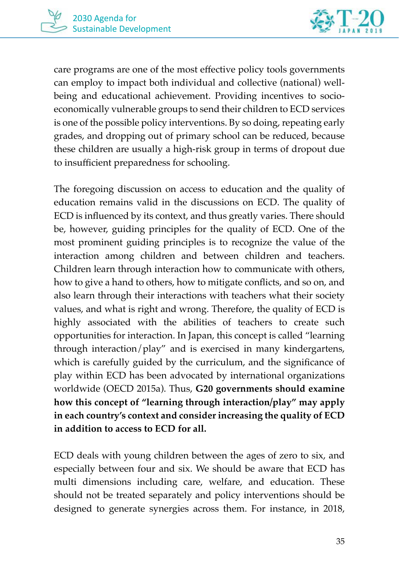

care programs are one of the most effective policy tools governments can employ to impact both individual and collective (national) wellbeing and educational achievement. Providing incentives to socioeconomically vulnerable groups to send their children to ECD services is one of the possible policy interventions. By so doing, repeating early grades, and dropping out of primary school can be reduced, because these children are usually a high-risk group in terms of dropout due to insufficient preparedness for schooling.

The foregoing discussion on access to education and the quality of education remains valid in the discussions on ECD. The quality of ECD is influenced by its context, and thus greatly varies. There should be, however, guiding principles for the quality of ECD. One of the most prominent guiding principles is to recognize the value of the interaction among children and between children and teachers. Children learn through interaction how to communicate with others, how to give a hand to others, how to mitigate conflicts, and so on, and also learn through their interactions with teachers what their society values, and what is right and wrong. Therefore, the quality of ECD is highly associated with the abilities of teachers to create such opportunities for interaction. In Japan, this concept is called "learning through interaction/play" and is exercised in many kindergartens, which is carefully guided by the curriculum, and the significance of play within ECD has been advocated by international organizations worldwide (OECD 2015a). Thus, **G20 governments should examine how this concept of "learning through interaction/play" may apply in each country's context and consider increasing the quality of ECD in addition to access to ECD for all.** 

ECD deals with young children between the ages of zero to six, and especially between four and six. We should be aware that ECD has multi dimensions including care, welfare, and education. These should not be treated separately and policy interventions should be designed to generate synergies across them. For instance, in 2018,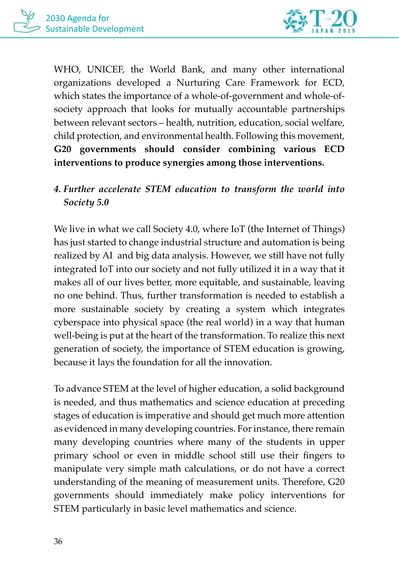

WHO, UNICEF, the World Bank, and many other international organizations developed a Nurturing Care Framework for ECD, which states the importance of a whole-of-government and whole-ofsociety approach that looks for mutually accountable partnerships between relevant sectors – health, nutrition, education, social welfare, child protection, and environmental health. Following this movement, **G20 governments should consider combining various ECD interventions to produce synergies among those interventions.** 

## *4. Further accelerate STEM education to transform the world into Society 5.0*

We live in what we call Society 4.0, where IoT (the Internet of Things) has just started to change industrial structure and automation is being realized by AI and big data analysis. However, we still have not fully integrated IoT into our society and not fully utilized it in a way that it makes all of our lives better, more equitable, and sustainable, leaving no one behind. Thus, further transformation is needed to establish a more sustainable society by creating a system which integrates cyberspace into physical space (the real world) in a way that human well-being is put at the heart of the transformation. To realize this next generation of society, the importance of STEM education is growing, because it lays the foundation for all the innovation.

To advance STEM at the level of higher education, a solid background is needed, and thus mathematics and science education at preceding stages of education is imperative and should get much more attention as evidenced in many developing countries. For instance, there remain many developing countries where many of the students in upper primary school or even in middle school still use their fingers to manipulate very simple math calculations, or do not have a correct understanding of the meaning of measurement units. Therefore, G20 governments should immediately make policy interventions for STEM particularly in basic level mathematics and science.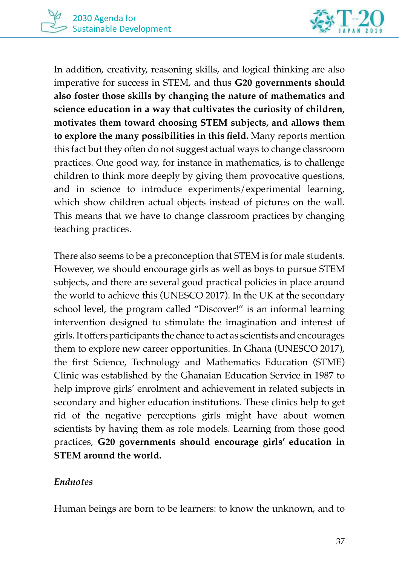

In addition, creativity, reasoning skills, and logical thinking are also imperative for success in STEM, and thus **G20 governments should also foster those skills by changing the nature of mathematics and science education in a way that cultivates the curiosity of children, motivates them toward choosing STEM subjects, and allows them to explore the many possibilities in this field.** Many reports mention this fact but they often do not suggest actual ways to change classroom practices. One good way, for instance in mathematics, is to challenge children to think more deeply by giving them provocative questions, and in science to introduce experiments/experimental learning, which show children actual objects instead of pictures on the wall. This means that we have to change classroom practices by changing teaching practices.

There also seems to be a preconception that STEM is for male students. However, we should encourage girls as well as boys to pursue STEM subjects, and there are several good practical policies in place around the world to achieve this (UNESCO 2017). In the UK at the secondary school level, the program called "Discover!" is an informal learning intervention designed to stimulate the imagination and interest of girls. It offers participants the chance to act as scientists and encourages them to explore new career opportunities. In Ghana (UNESCO 2017), the first Science, Technology and Mathematics Education (STME) Clinic was established by the Ghanaian Education Service in 1987 to help improve girls' enrolment and achievement in related subjects in secondary and higher education institutions. These clinics help to get rid of the negative perceptions girls might have about women scientists by having them as role models. Learning from those good practices, **G20 governments should encourage girls' education in STEM around the world.** 

#### *Endnotes*

Human beings are born to be learners: to know the unknown, and to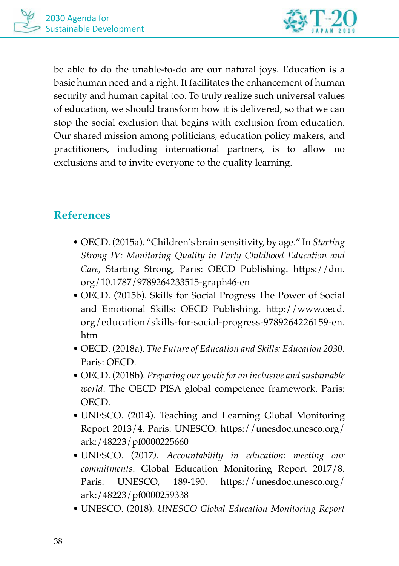

be able to do the unable-to-do are our natural joys. Education is a basic human need and a right. It facilitates the enhancement of human security and human capital too. To truly realize such universal values of education, we should transform how it is delivered, so that we can stop the social exclusion that begins with exclusion from education. Our shared mission among politicians, education policy makers, and practitioners, including international partners, is to allow no exclusions and to invite everyone to the quality learning.

# **References**

- OECD. (2015a). "Children's brain sensitivity, by age." In *Starting Strong IV: Monitoring Quality in Early Childhood Education and Care*, Starting Strong, Paris: OECD Publishing. https://doi. org/10.1787/9789264233515-graph46-en
- OECD. (2015b). Skills for Social Progress The Power of Social and Emotional Skills: OECD Publishing. http://www.oecd. org/education/skills-for-social-progress-9789264226159-en. htm
- OECD. (2018a). *The Future of Education and Skills: Education 2030*. Paris: OECD.
- OECD. (2018b). *Preparing our youth for an inclusive and sustainable world*: The OECD PISA global competence framework. Paris: OECD.
- UNESCO. (2014). Teaching and Learning Global Monitoring Report 2013/4. Paris: UNESCO. https://unesdoc.unesco.org/ ark:/48223/pf0000225660
- UNESCO. (2017*). Accountability in education: meeting our commitments*. Global Education Monitoring Report 2017/8. Paris: UNESCO, 189-190. https://unesdoc.unesco.org/ ark:/48223/pf0000259338
- UNESCO. (2018). *UNESCO Global Education Monitoring Report*